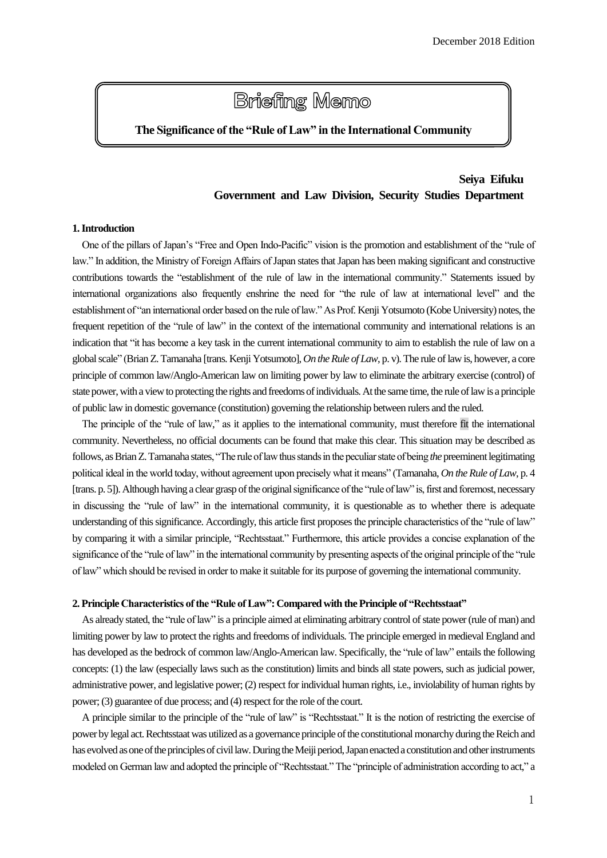# **Briefing Memo**

# **The Significance of the "Rule of Law" in the International Community**

# **Seiya Eifuku Government and Law Division, Security Studies Department**

## **1. Introduction**

One of the pillars of Japan's "Free and Open Indo-Pacific" vision is the promotion and establishment of the "rule of law." In addition, the Ministry of Foreign Affairs of Japan states that Japan has been making significant and constructive contributions towards the "establishment of the rule of law in the international community." Statements issued by international organizations also frequently enshrine the need for "the rule of law at international level" and the establishment of "an international order based on the rule of law." As Prof. Kenji Yotsumoto (Kobe University) notes, the frequent repetition of the "rule of law" in the context of the international community and international relations is an indication that "it has become a key task in the current international community to aim to establish the rule of law on a global scale" (Brian Z. Tamanaha [trans. Kenji Yotsumoto], *On the Rule of Law*, p. v).The rule of lawis, however, a core principle of common law/Anglo-American law on limiting power by law to eliminate the arbitrary exercise (control) of state power, with a view to protecting the rights and freedoms of individuals. At the same time, the rule of law is a principle of public law in domestic governance (constitution) governing the relationship between rulers and the ruled.

The principle of the "rule of law," as it applies to the international community, must therefore fit the international community. Nevertheless, no official documents can be found that make this clear. This situation may be described as follows, as Brian Z. Tamanaha states, "The rule of law thus stands in the peculiar state of being *the*preeminent legitimating political ideal in the world today, without agreement upon precisely what it means" (Tamanaha, *On the Rule of Law*, p. 4 [trans. p. 5]).Although having a clear grasp of the originalsignificance of the "rule of law" is, first and foremost, necessary in discussing the "rule of law" in the international community, it is questionable as to whether there is adequate understanding of this significance. Accordingly, this article first proposesthe principle characteristics of the "rule of law" by comparing it with a similar principle, "Rechtsstaat." Furthermore, this article provides a concise explanation of the significance of the "rule of law" in the international community by presenting aspects of the original principle of the "rule of law" which should be revised in order to make it suitable for its purpose of governing the international community.

#### **2. Principle Characteristics of the "Rule of Law": Compared with the Principle of "Rechtsstaat"**

As already stated, the "rule of law" is a principle aimed at eliminating arbitrary control of state power (rule of man) and limiting power by law to protect the rights and freedoms of individuals. The principle emerged in medieval England and has developed as the bedrock of common law/Anglo-American law. Specifically, the "rule of law" entails the following concepts: (1) the law (especially laws such as the constitution) limits and binds all state powers, such as judicial power, administrative power, and legislative power; (2) respect for individual human rights, i.e., inviolability of human rights by power; (3) guarantee of due process; and (4) respect for the role of the court.

A principle similar to the principle of the "rule of law" is "Rechtsstaat." It is the notion of restricting the exercise of power by legal act.Rechtsstaat was utilized as a governance principle of the constitutional monarchy during the Reich and has evolved as one of the principles of civil law. During the Meiji period,Japan enacted a constitution and other instruments modeled on German law and adopted the principle of "Rechtsstaat." The "principle of administration according to act," a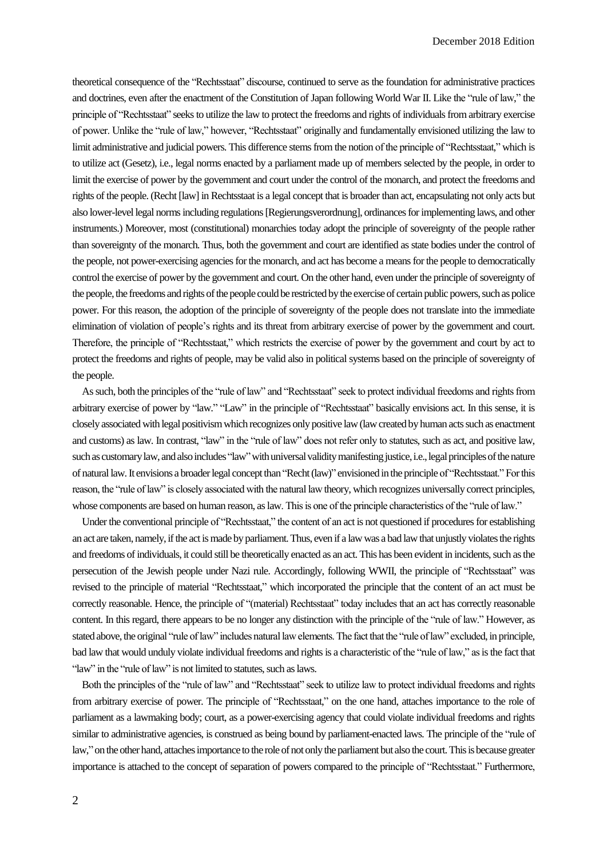theoretical consequence of the "Rechtsstaat" discourse, continued to serve as the foundation for administrative practices and doctrines, even after the enactment of the Constitution of Japan following World War II. Like the "rule of law," the principle of "Rechtsstaat" seeksto utilize the law to protect the freedoms and rights of individuals from arbitrary exercise of power. Unlike the "rule of law," however, "Rechtsstaat" originally and fundamentally envisioned utilizing the law to limit administrative and judicial powers. This difference stems from the notion of the principle of "Rechtsstaat," which is to utilize act (Gesetz), i.e., legal norms enacted by a parliament made up of members selected by the people, in order to limit the exercise of power by the government and court under the control of the monarch, and protect the freedoms and rights of the people. (Recht [law] in Rechtsstaat is a legal concept that is broader than act, encapsulating not only acts but also lower-level legal norms including regulations [Regierungsverordnung], ordinances for implementing laws, and other instruments.) Moreover, most (constitutional) monarchies today adopt the principle of sovereignty of the people rather than sovereignty of the monarch. Thus, both the government and court are identified as state bodies under the control of the people, not power-exercising agencies for the monarch, and act has become a means for the people to democratically control the exercise of power by the government and court. On the other hand, even under the principle of sovereignty of the people, the freedoms and rights of the people could be restricted by the exercise of certain public powers, such as police power. For this reason, the adoption of the principle of sovereignty of the people does not translate into the immediate elimination of violation of people's rights and its threat from arbitrary exercise of power by the government and court. Therefore, the principle of "Rechtsstaat," which restricts the exercise of power by the government and court by act to protect the freedoms and rights of people, may be valid also in political systems based on the principle of sovereignty of the people.

As such, both the principles of the "rule of law" and "Rechtsstaat" seek to protect individual freedoms and rights from arbitrary exercise of power by "law." "Law" in the principle of "Rechtsstaat" basically envisions act. In this sense, it is closely associated with legal positivism which recognizes only positive law (law created by human acts such as enactment and customs) as law. In contrast, "law" in the "rule of law" does not refer only to statutes, such as act, and positive law, such as customary law, and also includes "law" with universal validity manifesting justice, i.e., legal principles of the nature of natural law.It envisions a broader legal concept than "Recht (law)" envisioned in the principle of "Rechtsstaat." For this reason, the "rule of law" is closely associated with the natural law theory, which recognizes universally correct principles, whose components are based on human reason, as law. This is one of the principle characteristics of the "rule of law."

Under the conventional principle of "Rechtsstaat," the content of an act is not questioned if procedures for establishing an act are taken, namely, if the act ismade by parliament. Thus, even if a lawwas a bad law that unjustly violates the rights and freedoms of individuals, it could still be theoretically enacted as an act. This has been evident in incidents, such as the persecution of the Jewish people under Nazi rule. Accordingly, following WWII, the principle of "Rechtsstaat" was revised to the principle of material "Rechtsstaat," which incorporated the principle that the content of an act must be correctly reasonable. Hence, the principle of "(material) Rechtsstaat" today includes that an act has correctly reasonable content. In this regard, there appears to be no longer any distinction with the principle of the "rule of law." However, as stated above, the original "rule of law" includes natural law elements.The fact that the "rule of law" excluded, in principle, bad law that would unduly violate individual freedoms and rights is a characteristic of the "rule of law," as isthe fact that "law" in the "rule of law" is not limited to statutes, such as laws.

Both the principles of the "rule of law" and "Rechtsstaat" seek to utilize law to protect individual freedoms and rights from arbitrary exercise of power. The principle of "Rechtsstaat," on the one hand, attaches importance to the role of parliament as a lawmaking body; court, as a power-exercising agency that could violate individual freedoms and rights similar to administrative agencies, is construed as being bound by parliament-enacted laws. The principle of the "rule of law," on the other hand, attaches importance to the role of not only the parliament but also the court. This is because greater importance is attached to the concept of separation of powers compared to the principle of "Rechtsstaat." Furthermore,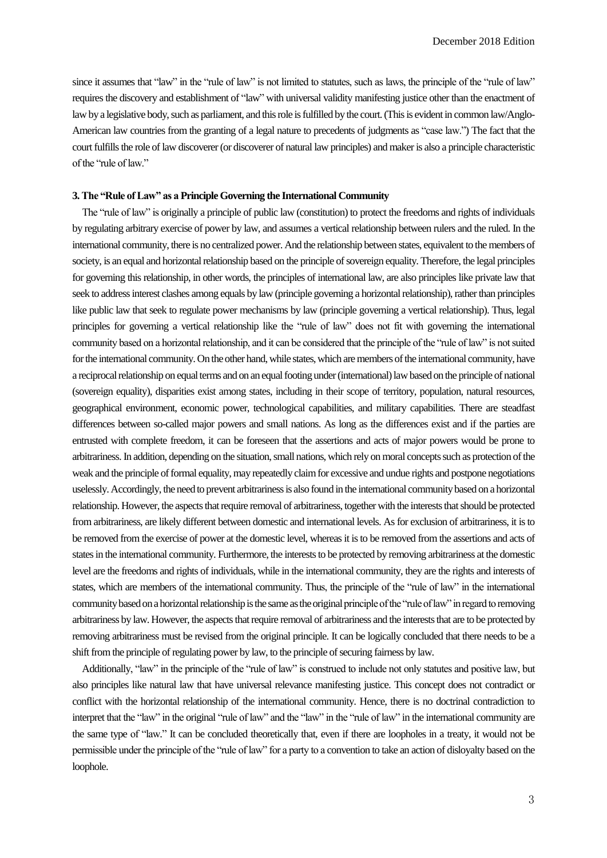since it assumes that "law" in the "rule of law" is not limited to statutes, such as laws, the principle of the "rule of law" requires the discovery and establishment of "law" with universal validity manifesting justice other than the enactment of law by a legislative body, such as parliament, and this role is fulfilled by the court. (This is evident in common law/Anglo-American law countries from the granting of a legal nature to precedents of judgments as "case law.") The fact that the court fulfills the role of law discoverer (or discoverer of natural law principles) and maker is also a principle characteristic of the "rule of law."

## **3. The "Rule of Law" as a Principle Governing the International Community**

 The "rule of law" is originally a principle of public law (constitution) to protect the freedoms and rights of individuals by regulating arbitrary exercise of power by law, and assumes a vertical relationship between rulers and the ruled. In the international community, there is no centralized power. And the relationship between states, equivalent to the members of society, is an equal and horizontal relationship based on the principle of sovereign equality. Therefore, the legal principles for governing this relationship, in other words, the principles of international law, are also principles like private law that seek to address interest clashes among equals by law (principle governing a horizontal relationship), rather than principles like public law that seek to regulate power mechanisms by law (principle governing a vertical relationship). Thus, legal principles for governing a vertical relationship like the "rule of law" does not fit with governing the international community based on a horizontal relationship, and it can be considered that the principle of the "rule of law" is not suited for the international community. On the other hand, while states, which are members of the international community, have a reciprocal relationship on equal terms and on an equal footing under (international) law based on the principle of national (sovereign equality), disparities exist among states, including in their scope of territory, population, natural resources, geographical environment, economic power, technological capabilities, and military capabilities. There are steadfast differences between so-called major powers and small nations. As long as the differences exist and if the parties are entrusted with complete freedom, it can be foreseen that the assertions and acts of major powers would be prone to arbitrariness. In addition, depending on the situation, small nations, which rely on moral conceptssuch as protection of the weak and the principle of formal equality, may repeatedly claim for excessive and undue rights and postpone negotiations uselessly. Accordingly, the need to prevent arbitrarinessis also found in the international community based on a horizontal relationship. However, the aspectsthat require removal of arbitrariness, together with the interests that should be protected from arbitrariness, are likely different between domestic and international levels. As for exclusion of arbitrariness, it is to be removed from the exercise of power at the domestic level, whereas it is to be removed from the assertions and acts of statesin the international community. Furthermore, the interests to be protected by removing arbitrariness at the domestic level are the freedoms and rights of individuals, while in the international community, they are the rights and interests of states, which are members of the international community. Thus, the principle of the "rule of law" in the international community based on a horizontal relationship is the same as the original principle of the "rule of law" in regard to removing arbitrariness by law. However, the aspects that require removal of arbitrariness and the interests that are to be protected by removing arbitrariness must be revised from the original principle. It can be logically concluded that there needs to be a shift from the principle of regulating power by law, to the principle of securing fairness by law.

Additionally, "law" in the principle of the "rule of law" is construed to include not only statutes and positive law, but also principles like natural law that have universal relevance manifesting justice. This concept does not contradict or conflict with the horizontal relationship of the international community. Hence, there is no doctrinal contradiction to interpret that the "law" in the original "rule of law" and the "law" in the "rule of law" in the international community are the same type of "law." It can be concluded theoretically that, even if there are loopholes in a treaty, it would not be permissible under the principle of the "rule of law" for a party to a convention to take an action of disloyalty based on the loophole.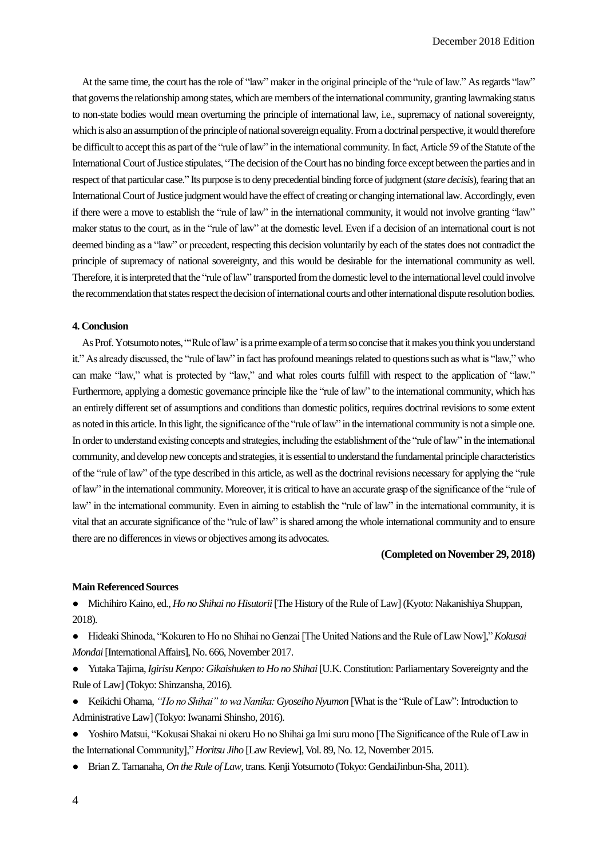At the same time, the court has the role of "law" maker in the original principle of the "rule of law." As regards "law" that governs the relationship among states, which are members of the international community, granting lawmaking status to non-state bodies would mean overturning the principle of international law, i.e., supremacy of national sovereignty, which is also an assumption of the principle of national sovereign equality. From a doctrinal perspective, itwould therefore be difficult to accept this as part of the "rule of law" in the international community. In fact, Article 59 of the Statute of the International Court of Justice stipulates, "The decision of the Court has no binding force except between the parties and in respect of that particular case." Its purpose is to deny precedential binding force of judgment(*stare decisis*), fearing that an International Court of Justice judgment would have the effect of creating or changing international law. Accordingly, even if there were a move to establish the "rule of law" in the international community, it would not involve granting "law" maker status to the court, as in the "rule of law" at the domestic level. Even if a decision of an international court is not deemed binding as a "law" or precedent, respecting this decision voluntarily by each of the states does not contradict the principle of supremacy of national sovereignty, and this would be desirable for the international community as well. Therefore, it is interpreted that the "rule of law" transported from the domestic level to the international level could involve the recommendation that states respect the decision of international courts and other international dispute resolution bodies.

# **4. Conclusion**

As Prof. Yotsumoto notes, ""Rule of law' is a prime example of a term so concise that it makes you think you understand it." As already discussed, the "rule of law" in fact has profound meanings related to questions such as what is "law," who can make "law," what is protected by "law," and what roles courts fulfill with respect to the application of "law." Furthermore, applying a domestic governance principle like the "rule of law" to the international community, which has an entirely different set of assumptions and conditions than domestic politics, requires doctrinal revisions to some extent as noted in this article. In this light, the significance of the "rule of law" in the international community is not a simple one. In order to understand existing concepts and strategies, including the establishment of the "rule of law" in the international community, and develop new concepts and strategies, it is essential to understand the fundamental principle characteristics of the "rule of law" of the type described in this article, as well as the doctrinal revisions necessary for applying the "rule of law" in the international community. Moreover, it is critical to have an accurate grasp of the significance of the "rule of law" in the international community. Even in aiming to establish the "rule of law" in the international community, it is vital that an accurate significance of the "rule of law" is shared among the whole international community and to ensure there are no differences in views or objectives among its advocates.

# **(Completed on November 29, 2018)**

#### **Main Referenced Sources**

● Michihiro Kaino, ed., *Ho no Shihai no Hisutorii*[The History of the Rule of Law] (Kyoto: Nakanishiya Shuppan, 2018).

● Hideaki Shinoda, "Kokuren to Ho no Shihai no Genzai [The United Nations and the Rule of Law Now]," *Kokusai Mondai*[International Affairs], No. 666, November 2017.

● Yutaka Tajima, *Igirisu Kenpo: Gikaishuken to Ho no Shihai*[U.K. Constitution: Parliamentary Sovereignty and the Rule of Law] (Tokyo: Shinzansha, 2016).

● Keikichi Ohama, *"Ho no Shihai" to wa Nanika: Gyoseiho Nyumon* [What is the "Rule of Law": Introduction to Administrative Law] (Tokyo: Iwanami Shinsho, 2016).

- Yoshiro Matsui, "Kokusai Shakai ni okeru Ho no Shihai ga Imi suru mono [The Significance of the Rule of Law in the International Community]," *Horitsu Jiho* [Law Review], Vol. 89, No. 12, November 2015.
- Brian Z. Tamanaha, *On the Rule of Law*, trans. Kenji Yotsumoto (Tokyo: GendaiJinbun-Sha, 2011).